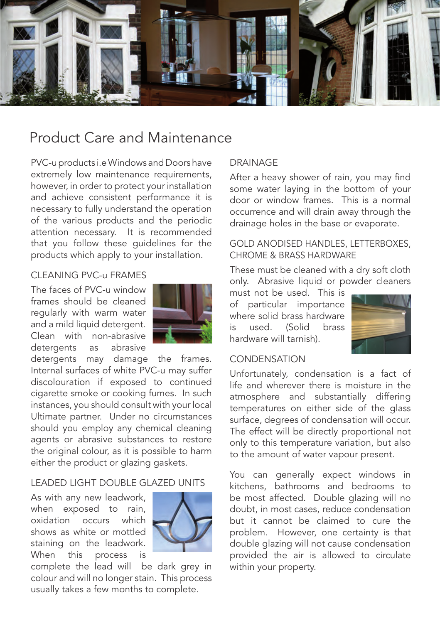

# Product Care and Maintenance

PVC-u products i.e Windows and Doors have extremely low maintenance requirements, however, in order to protect your installation and achieve consistent performance it is necessary to fully understand the operation of the various products and the periodic attention necessary. It is recommended that you follow these guidelines for the products which apply to your installation.

# CLEANING PVC-u FRAMES

The faces of PVC-u window frames should be cleaned regularly with warm water and a mild liquid detergent. Clean with non-abrasive detergents as abrasive



detergents may damage the frames. Internal surfaces of white PVC-u may suffer discolouration if exposed to continued cigarette smoke or cooking fumes. In such instances, you should consult with your local Ultimate partner. Under no circumstances should you employ any chemical cleaning agents or abrasive substances to restore the original colour, as it is possible to harm either the product or glazing gaskets.

## LEADED LIGHT DOUBLE GLAZED UNITS

As with any new leadwork, when exposed to rain, oxidation occurs which shows as white or mottled staining on the leadwork. When this process is



complete the lead will be dark grey in colour and will no longer stain. This process usually takes a few months to complete.

# DRAINAGE

After a heavy shower of rain, you may find some water laying in the bottom of your door or window frames. This is a normal occurrence and will drain away through the drainage holes in the base or evaporate.

### GOLD ANODISED HANDLES, LETTERBOXES, CHROME & BRASS HARDWARE

These must be cleaned with a dry soft cloth only. Abrasive liquid or powder cleaners

must not be used. This is of particular importance where solid brass hardware is used. (Solid brass hardware will tarnish).



#### **CONDENSATION**

Unfortunately, condensation is a fact of life and wherever there is moisture in the atmosphere and substantially differing temperatures on either side of the glass surface, degrees of condensation will occur. The effect will be directly proportional not only to this temperature variation, but also to the amount of water vapour present.

You can generally expect windows in kitchens, bathrooms and bedrooms to be most affected. Double glazing will no doubt, in most cases, reduce condensation but it cannot be claimed to cure the problem. However, one certainty is that double glazing will not cause condensation provided the air is allowed to circulate within your property.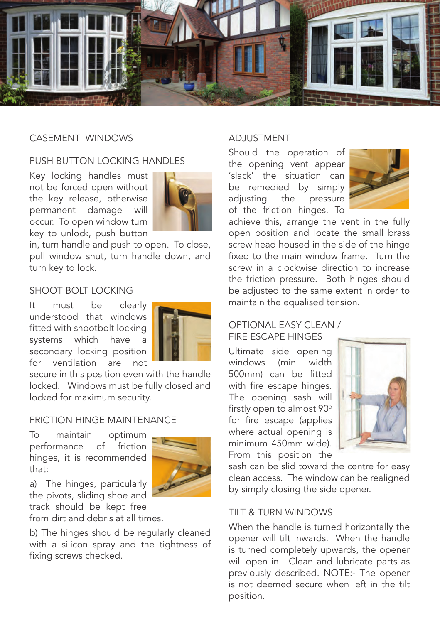

## CASEMENT WINDOWS

# PUSH BUTTON LOCKING HANDLES

Key locking handles must not be forced open without the key release, otherwise permanent damage will occur. To open window turn key to unlock, push button



in, turn handle and push to open. To close, pull window shut, turn handle down, and turn key to lock.

# SHOOT BOLT LOCKING

It must be clearly understood that windows fitted with shootbolt locking systems which have a secondary locking position for ventilation are not



secure in this position even with the handle locked. Windows must be fully closed and locked for maximum security.

## FRICTION HINGE MAINTENANCE

To maintain optimum performance of friction hinges, it is recommended that:



a) The hinges, particularly the pivots, sliding shoe and

track should be kept free from dirt and debris at all times.

b) The hinges should be regularly cleaned with a silicon spray and the tightness of fixing screws checked.

## ADJUSTMENT

Should the operation of the opening vent appear 'slack' the situation can be remedied by simply adjusting the pressure of the friction hinges. To



achieve this, arrange the vent in the fully open position and locate the small brass screw head housed in the side of the hinge fixed to the main window frame. Turn the screw in a clockwise direction to increase the friction pressure. Both hinges should be adjusted to the same extent in order to maintain the equalised tension.

## OPTIONAL EASY CLEAN / FIRE ESCAPE HINGES

Ultimate side opening windows (min width 500mm) can be fitted with fire escape hinges. The opening sash will firstly open to almost  $90^\circ$ for fire escape (applies where actual opening is minimum 450mm wide). From this position the



sash can be slid toward the centre for easy clean access. The window can be realigned by simply closing the side opener.

## TILT & TURN WINDOWS

When the handle is turned horizontally the opener will tilt inwards. When the handle is turned completely upwards, the opener will open in. Clean and lubricate parts as previously described. NOTE:- The opener is not deemed secure when left in the tilt position.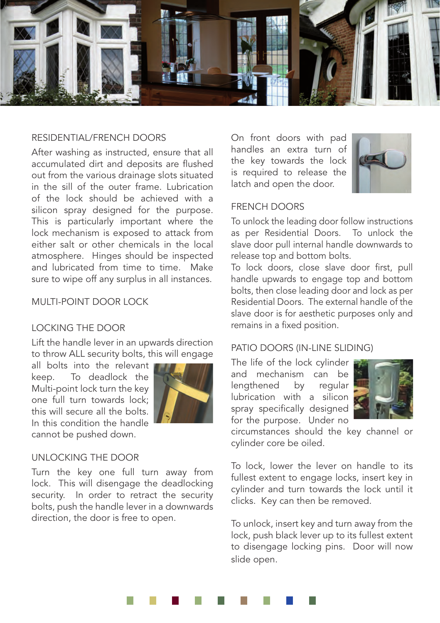

#### RESIDENTIAL/FRENCH DOORS

After washing as instructed, ensure that all accumulated dirt and deposits are flushed out from the various drainage slots situated in the sill of the outer frame. Lubrication of the lock should be achieved with a silicon spray designed for the purpose. This is particularly important where the lock mechanism is exposed to attack from either salt or other chemicals in the local atmosphere. Hinges should be inspected and lubricated from time to time. Make sure to wipe off any surplus in all instances.

#### MULTI-POINT DOOR LOCK

## LOCKING THE DOOR

Lift the handle lever in an upwards direction to throw ALL security bolts, this will engage

all bolts into the relevant keep. To deadlock the Multi-point lock turn the key one full turn towards lock; this will secure all the bolts. In this condition the handle cannot be pushed down.



#### UNLOCKING THE DOOR

Turn the key one full turn away from lock. This will disengage the deadlocking security. In order to retract the security bolts, push the handle lever in a downwards direction, the door is free to open.

On front doors with pad handles an extra turn of the key towards the lock is required to release the latch and open the door.



## FRENCH DOORS

To unlock the leading door follow instructions as per Residential Doors. To unlock the slave door pull internal handle downwards to release top and bottom bolts.

To lock doors, close slave door first, pull handle upwards to engage top and bottom bolts, then close leading door and lock as per Residential Doors. The external handle of the slave door is for aesthetic purposes only and remains in a fixed position.

## PATIO DOORS (IN-LINE SLIDING)

The life of the lock cylinder and mechanism can be lengthened by regular lubrication with a silicon spray specifically designed for the purpose. Under no



circumstances should the key channel or cylinder core be oiled.

To lock, lower the lever on handle to its fullest extent to engage locks, insert key in cylinder and turn towards the lock until it clicks. Key can then be removed.

To unlock, insert key and turn away from the lock, push black lever up to its fullest extent to disengage locking pins. Door will now slide open.